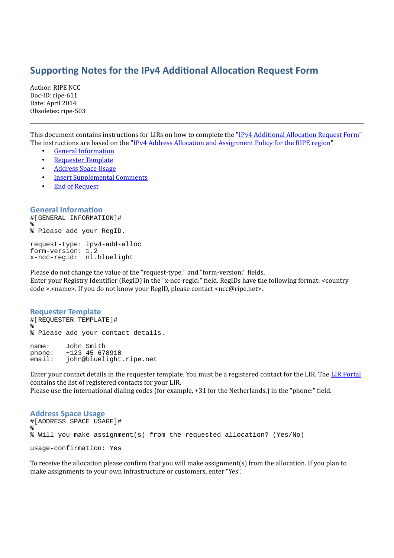# **Supporting Notes for the IPv4 Additional Allocation Request Form**

Author: RIPE NCC Doc-ID: ripe-611 Date: April 2014 Obsoletes: ripe-503

This document contains instructions for LIRs on how to complete the ["IPv4 Additional Allocation Request Form"](http://www.ripe.net/ripe/docs/add-allocation) The instructions are based on the ["IPv4 Address Allocation and Assignment Policy for the RIPE region"](http://www.ripe.net/ripe/docs/ipv4-policies)

- [General Information](#page-0-2)
- [Requester Template](#page-0-1)
- [Address Space Usage](#page-0-0)
- [Insert Supplemental Comments](#page-1-0)
- [End of Request](#page-1-1)

### <span id="page-0-2"></span>**General Information**

```
#[GENERAL INFORMATION]#
%
% Please add your RegID.
request-type: ipv4-add-alloc
form-version: 1.2
x-ncc-regid: nl.bluelight
```
Please do not change the value of the "request-type:" and "form-version:" fields. Enter your Registry Identifier (RegID) in the "x-ncc-regid:" field. RegIDs have the following format: <country code >.<name>. If you do not know your RegID, please contact <ncc@ripe.net>.

#### <span id="page-0-1"></span>**Requester Template**

#[REQUESTER TEMPLATE]# % % Please add your contact details. name: John Smith<br>phone: +123 45 67 phone: +123 45 678910<br>email: john@bluelight john@bluelight.ripe.net

Enter your contact details in the requester template. You must be a registered contact for the LIR. The [LIR Portal](https://lirportal.ripe.net/) contains the list of registered contacts for your LIR.

Please use the international dialing codes (for example, +31 for the Netherlands,) in the "phone:" field.

#### <span id="page-0-0"></span>**Address Space Usage**

```
#[ADDRESS SPACE USAGE]#
\frac{9}{6}% Will you make assignment(s) from the requested allocation? (Yes/No)
usage-confirmation: Yes
```
To receive the allocation please confirm that you will make assignment(s) from the allocation. If you plan to make assignments to your own infrastructure or customers, enter "Yes".